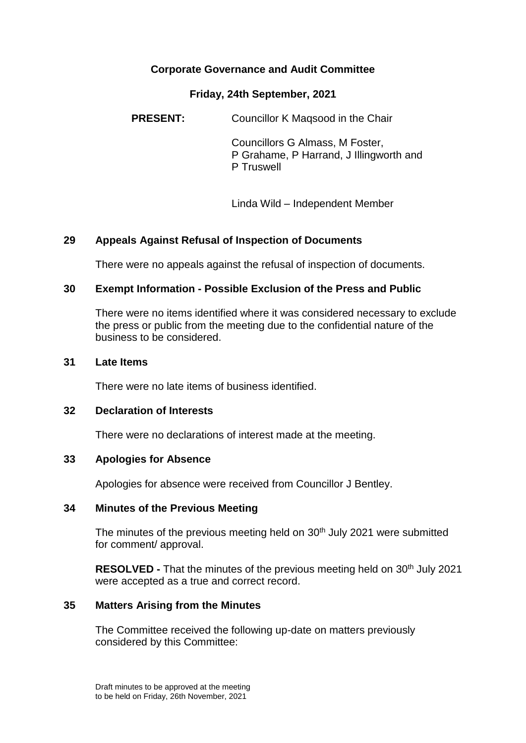# **Corporate Governance and Audit Committee**

## **Friday, 24th September, 2021**

**PRESENT:** Councillor K Magsood in the Chair

Councillors G Almass, M Foster, P Grahame, P Harrand, J Illingworth and P Truswell

Linda Wild – Independent Member

## **29 Appeals Against Refusal of Inspection of Documents**

There were no appeals against the refusal of inspection of documents.

### **30 Exempt Information - Possible Exclusion of the Press and Public**

There were no items identified where it was considered necessary to exclude the press or public from the meeting due to the confidential nature of the business to be considered.

#### **31 Late Items**

There were no late items of business identified.

### **32 Declaration of Interests**

There were no declarations of interest made at the meeting.

#### **33 Apologies for Absence**

Apologies for absence were received from Councillor J Bentley.

#### **34 Minutes of the Previous Meeting**

The minutes of the previous meeting held on 30<sup>th</sup> July 2021 were submitted for comment/ approval.

**RESOLVED -** That the minutes of the previous meeting held on 30<sup>th</sup> July 2021 were accepted as a true and correct record.

#### **35 Matters Arising from the Minutes**

The Committee received the following up-date on matters previously considered by this Committee: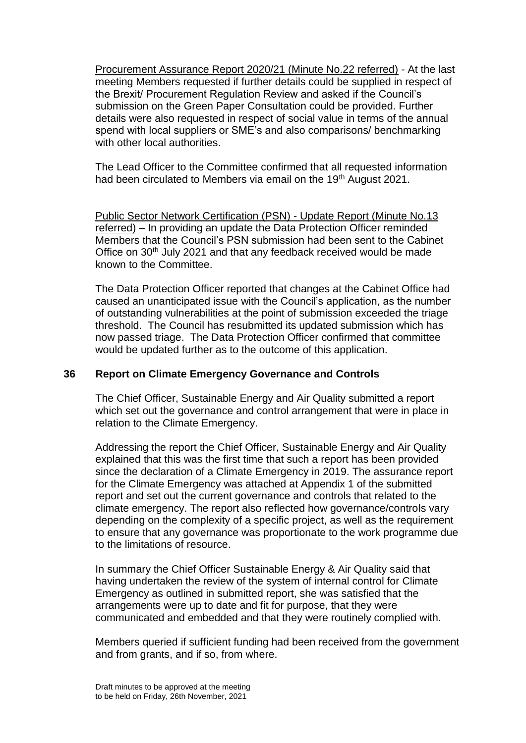Procurement Assurance Report 2020/21 (Minute No.22 referred) - At the last meeting Members requested if further details could be supplied in respect of the Brexit/ Procurement Regulation Review and asked if the Council's submission on the Green Paper Consultation could be provided. Further details were also requested in respect of social value in terms of the annual spend with local suppliers or SME's and also comparisons/ benchmarking with other local authorities.

The Lead Officer to the Committee confirmed that all requested information had been circulated to Members via email on the 19<sup>th</sup> August 2021.

Public Sector Network Certification (PSN) - Update Report (Minute No.13 referred) – In providing an update the Data Protection Officer reminded Members that the Council's PSN submission had been sent to the Cabinet Office on 30<sup>th</sup> July 2021 and that any feedback received would be made known to the Committee.

The Data Protection Officer reported that changes at the Cabinet Office had caused an unanticipated issue with the Council's application, as the number of outstanding vulnerabilities at the point of submission exceeded the triage threshold. The Council has resubmitted its updated submission which has now passed triage. The Data Protection Officer confirmed that committee would be updated further as to the outcome of this application.

## **36 Report on Climate Emergency Governance and Controls**

The Chief Officer, Sustainable Energy and Air Quality submitted a report which set out the governance and control arrangement that were in place in relation to the Climate Emergency.

Addressing the report the Chief Officer, Sustainable Energy and Air Quality explained that this was the first time that such a report has been provided since the declaration of a Climate Emergency in 2019. The assurance report for the Climate Emergency was attached at Appendix 1 of the submitted report and set out the current governance and controls that related to the climate emergency. The report also reflected how governance/controls vary depending on the complexity of a specific project, as well as the requirement to ensure that any governance was proportionate to the work programme due to the limitations of resource.

In summary the Chief Officer Sustainable Energy & Air Quality said that having undertaken the review of the system of internal control for Climate Emergency as outlined in submitted report, she was satisfied that the arrangements were up to date and fit for purpose, that they were communicated and embedded and that they were routinely complied with.

Members queried if sufficient funding had been received from the government and from grants, and if so, from where.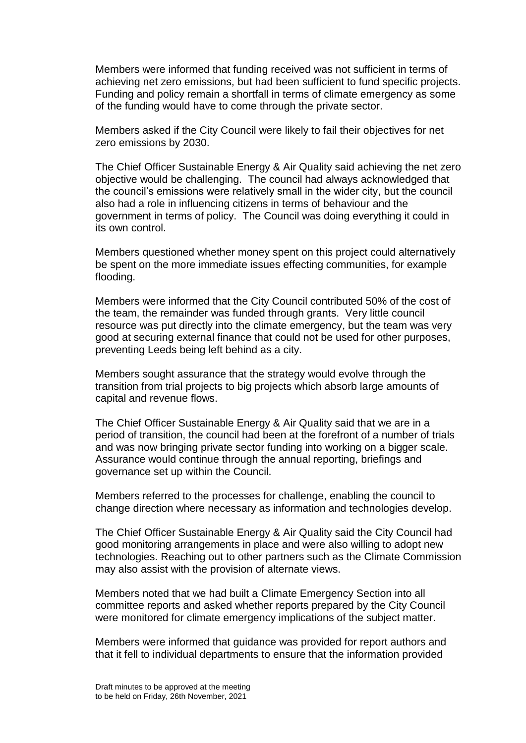Members were informed that funding received was not sufficient in terms of achieving net zero emissions, but had been sufficient to fund specific projects. Funding and policy remain a shortfall in terms of climate emergency as some of the funding would have to come through the private sector.

Members asked if the City Council were likely to fail their objectives for net zero emissions by 2030.

The Chief Officer Sustainable Energy & Air Quality said achieving the net zero objective would be challenging. The council had always acknowledged that the council's emissions were relatively small in the wider city, but the council also had a role in influencing citizens in terms of behaviour and the government in terms of policy. The Council was doing everything it could in its own control.

Members questioned whether money spent on this project could alternatively be spent on the more immediate issues effecting communities, for example flooding.

Members were informed that the City Council contributed 50% of the cost of the team, the remainder was funded through grants. Very little council resource was put directly into the climate emergency, but the team was very good at securing external finance that could not be used for other purposes, preventing Leeds being left behind as a city.

Members sought assurance that the strategy would evolve through the transition from trial projects to big projects which absorb large amounts of capital and revenue flows.

The Chief Officer Sustainable Energy & Air Quality said that we are in a period of transition, the council had been at the forefront of a number of trials and was now bringing private sector funding into working on a bigger scale. Assurance would continue through the annual reporting, briefings and governance set up within the Council.

Members referred to the processes for challenge, enabling the council to change direction where necessary as information and technologies develop.

The Chief Officer Sustainable Energy & Air Quality said the City Council had good monitoring arrangements in place and were also willing to adopt new technologies. Reaching out to other partners such as the Climate Commission may also assist with the provision of alternate views.

Members noted that we had built a Climate Emergency Section into all committee reports and asked whether reports prepared by the City Council were monitored for climate emergency implications of the subject matter.

Members were informed that guidance was provided for report authors and that it fell to individual departments to ensure that the information provided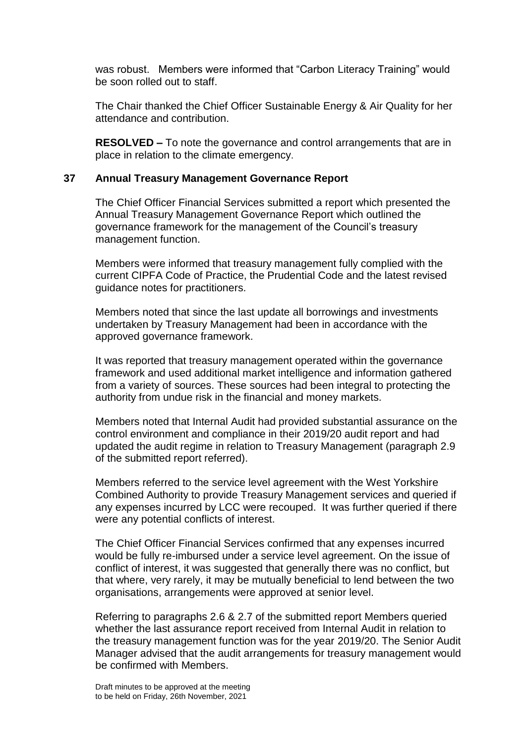was robust. Members were informed that "Carbon Literacy Training" would be soon rolled out to staff.

The Chair thanked the Chief Officer Sustainable Energy & Air Quality for her attendance and contribution.

**RESOLVED –** To note the governance and control arrangements that are in place in relation to the climate emergency.

### **37 Annual Treasury Management Governance Report**

The Chief Officer Financial Services submitted a report which presented the Annual Treasury Management Governance Report which outlined the governance framework for the management of the Council's treasury management function.

Members were informed that treasury management fully complied with the current CIPFA Code of Practice, the Prudential Code and the latest revised guidance notes for practitioners.

Members noted that since the last update all borrowings and investments undertaken by Treasury Management had been in accordance with the approved governance framework.

It was reported that treasury management operated within the governance framework and used additional market intelligence and information gathered from a variety of sources. These sources had been integral to protecting the authority from undue risk in the financial and money markets.

Members noted that Internal Audit had provided substantial assurance on the control environment and compliance in their 2019/20 audit report and had updated the audit regime in relation to Treasury Management (paragraph 2.9 of the submitted report referred).

Members referred to the service level agreement with the West Yorkshire Combined Authority to provide Treasury Management services and queried if any expenses incurred by LCC were recouped. It was further queried if there were any potential conflicts of interest.

The Chief Officer Financial Services confirmed that any expenses incurred would be fully re-imbursed under a service level agreement. On the issue of conflict of interest, it was suggested that generally there was no conflict, but that where, very rarely, it may be mutually beneficial to lend between the two organisations, arrangements were approved at senior level.

Referring to paragraphs 2.6 & 2.7 of the submitted report Members queried whether the last assurance report received from Internal Audit in relation to the treasury management function was for the year 2019/20. The Senior Audit Manager advised that the audit arrangements for treasury management would be confirmed with Members.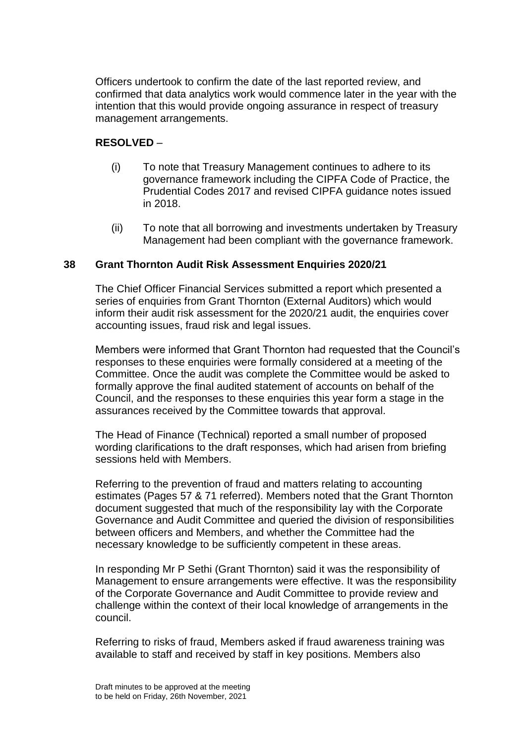Officers undertook to confirm the date of the last reported review, and confirmed that data analytics work would commence later in the year with the intention that this would provide ongoing assurance in respect of treasury management arrangements.

# **RESOLVED** –

- (i) To note that Treasury Management continues to adhere to its governance framework including the CIPFA Code of Practice, the Prudential Codes 2017 and revised CIPFA guidance notes issued in 2018.
- (ii) To note that all borrowing and investments undertaken by Treasury Management had been compliant with the governance framework.

## **38 Grant Thornton Audit Risk Assessment Enquiries 2020/21**

The Chief Officer Financial Services submitted a report which presented a series of enquiries from Grant Thornton (External Auditors) which would inform their audit risk assessment for the 2020/21 audit, the enquiries cover accounting issues, fraud risk and legal issues.

Members were informed that Grant Thornton had requested that the Council's responses to these enquiries were formally considered at a meeting of the Committee. Once the audit was complete the Committee would be asked to formally approve the final audited statement of accounts on behalf of the Council, and the responses to these enquiries this year form a stage in the assurances received by the Committee towards that approval.

The Head of Finance (Technical) reported a small number of proposed wording clarifications to the draft responses, which had arisen from briefing sessions held with Members.

Referring to the prevention of fraud and matters relating to accounting estimates (Pages 57 & 71 referred). Members noted that the Grant Thornton document suggested that much of the responsibility lay with the Corporate Governance and Audit Committee and queried the division of responsibilities between officers and Members, and whether the Committee had the necessary knowledge to be sufficiently competent in these areas.

In responding Mr P Sethi (Grant Thornton) said it was the responsibility of Management to ensure arrangements were effective. It was the responsibility of the Corporate Governance and Audit Committee to provide review and challenge within the context of their local knowledge of arrangements in the council.

Referring to risks of fraud, Members asked if fraud awareness training was available to staff and received by staff in key positions. Members also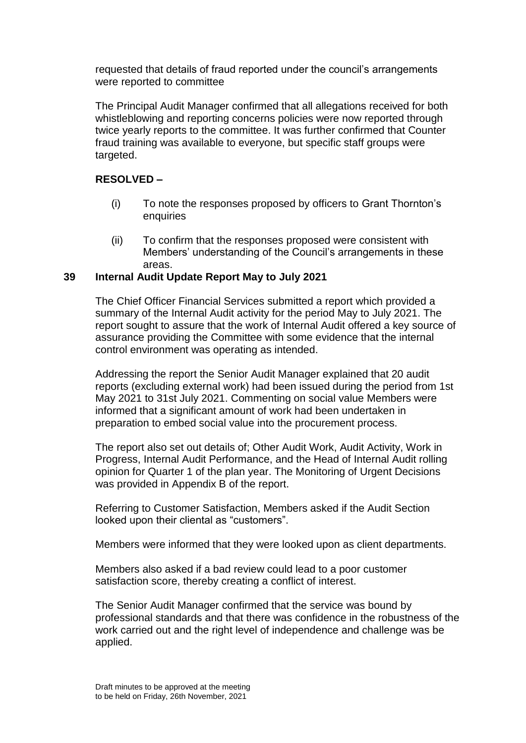requested that details of fraud reported under the council's arrangements were reported to committee

The Principal Audit Manager confirmed that all allegations received for both whistleblowing and reporting concerns policies were now reported through twice yearly reports to the committee. It was further confirmed that Counter fraud training was available to everyone, but specific staff groups were targeted.

# **RESOLVED –**

- (i) To note the responses proposed by officers to Grant Thornton's enquiries
- (ii) To confirm that the responses proposed were consistent with Members' understanding of the Council's arrangements in these areas.

## **39 Internal Audit Update Report May to July 2021**

The Chief Officer Financial Services submitted a report which provided a summary of the Internal Audit activity for the period May to July 2021. The report sought to assure that the work of Internal Audit offered a key source of assurance providing the Committee with some evidence that the internal control environment was operating as intended.

Addressing the report the Senior Audit Manager explained that 20 audit reports (excluding external work) had been issued during the period from 1st May 2021 to 31st July 2021. Commenting on social value Members were informed that a significant amount of work had been undertaken in preparation to embed social value into the procurement process.

The report also set out details of; Other Audit Work, Audit Activity, Work in Progress, Internal Audit Performance, and the Head of Internal Audit rolling opinion for Quarter 1 of the plan year. The Monitoring of Urgent Decisions was provided in Appendix B of the report.

Referring to Customer Satisfaction, Members asked if the Audit Section looked upon their cliental as "customers".

Members were informed that they were looked upon as client departments.

Members also asked if a bad review could lead to a poor customer satisfaction score, thereby creating a conflict of interest.

The Senior Audit Manager confirmed that the service was bound by professional standards and that there was confidence in the robustness of the work carried out and the right level of independence and challenge was be applied.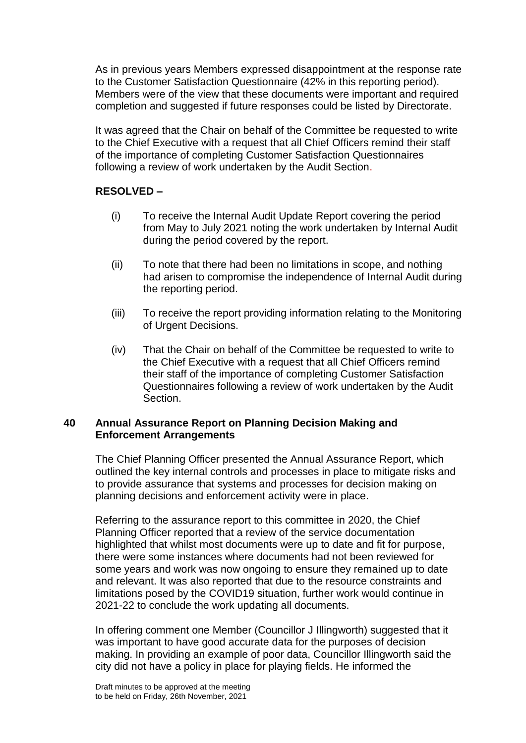As in previous years Members expressed disappointment at the response rate to the Customer Satisfaction Questionnaire (42% in this reporting period). Members were of the view that these documents were important and required completion and suggested if future responses could be listed by Directorate.

It was agreed that the Chair on behalf of the Committee be requested to write to the Chief Executive with a request that all Chief Officers remind their staff of the importance of completing Customer Satisfaction Questionnaires following a review of work undertaken by the Audit Section.

# **RESOLVED –**

- (i) To receive the Internal Audit Update Report covering the period from May to July 2021 noting the work undertaken by Internal Audit during the period covered by the report.
- (ii) To note that there had been no limitations in scope, and nothing had arisen to compromise the independence of Internal Audit during the reporting period.
- (iii) To receive the report providing information relating to the Monitoring of Urgent Decisions.
- (iv) That the Chair on behalf of the Committee be requested to write to the Chief Executive with a request that all Chief Officers remind their staff of the importance of completing Customer Satisfaction Questionnaires following a review of work undertaken by the Audit Section.

### **40 Annual Assurance Report on Planning Decision Making and Enforcement Arrangements**

The Chief Planning Officer presented the Annual Assurance Report, which outlined the key internal controls and processes in place to mitigate risks and to provide assurance that systems and processes for decision making on planning decisions and enforcement activity were in place.

Referring to the assurance report to this committee in 2020, the Chief Planning Officer reported that a review of the service documentation highlighted that whilst most documents were up to date and fit for purpose, there were some instances where documents had not been reviewed for some years and work was now ongoing to ensure they remained up to date and relevant. It was also reported that due to the resource constraints and limitations posed by the COVID19 situation, further work would continue in 2021-22 to conclude the work updating all documents.

In offering comment one Member (Councillor J Illingworth) suggested that it was important to have good accurate data for the purposes of decision making. In providing an example of poor data, Councillor Illingworth said the city did not have a policy in place for playing fields. He informed the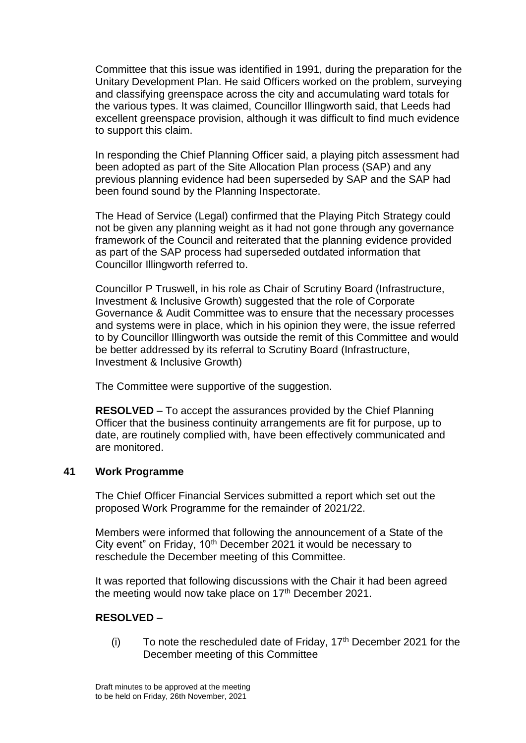Committee that this issue was identified in 1991, during the preparation for the Unitary Development Plan. He said Officers worked on the problem, surveying and classifying greenspace across the city and accumulating ward totals for the various types. It was claimed, Councillor Illingworth said, that Leeds had excellent greenspace provision, although it was difficult to find much evidence to support this claim.

In responding the Chief Planning Officer said, a playing pitch assessment had been adopted as part of the Site Allocation Plan process (SAP) and any previous planning evidence had been superseded by SAP and the SAP had been found sound by the Planning Inspectorate.

The Head of Service (Legal) confirmed that the Playing Pitch Strategy could not be given any planning weight as it had not gone through any governance framework of the Council and reiterated that the planning evidence provided as part of the SAP process had superseded outdated information that Councillor Illingworth referred to.

Councillor P Truswell, in his role as Chair of Scrutiny Board (Infrastructure, Investment & Inclusive Growth) suggested that the role of Corporate Governance & Audit Committee was to ensure that the necessary processes and systems were in place, which in his opinion they were, the issue referred to by Councillor Illingworth was outside the remit of this Committee and would be better addressed by its referral to Scrutiny Board (Infrastructure, Investment & Inclusive Growth)

The Committee were supportive of the suggestion.

**RESOLVED** – To accept the assurances provided by the Chief Planning Officer that the business continuity arrangements are fit for purpose, up to date, are routinely complied with, have been effectively communicated and are monitored.

## **41 Work Programme**

The Chief Officer Financial Services submitted a report which set out the proposed Work Programme for the remainder of 2021/22.

Members were informed that following the announcement of a State of the City event" on Friday, 10<sup>th</sup> December 2021 it would be necessary to reschedule the December meeting of this Committee.

It was reported that following discussions with the Chair it had been agreed the meeting would now take place on  $17<sup>th</sup>$  December 2021.

## **RESOLVED** –

(i) To note the rescheduled date of Friday,  $17<sup>th</sup>$  December 2021 for the December meeting of this Committee